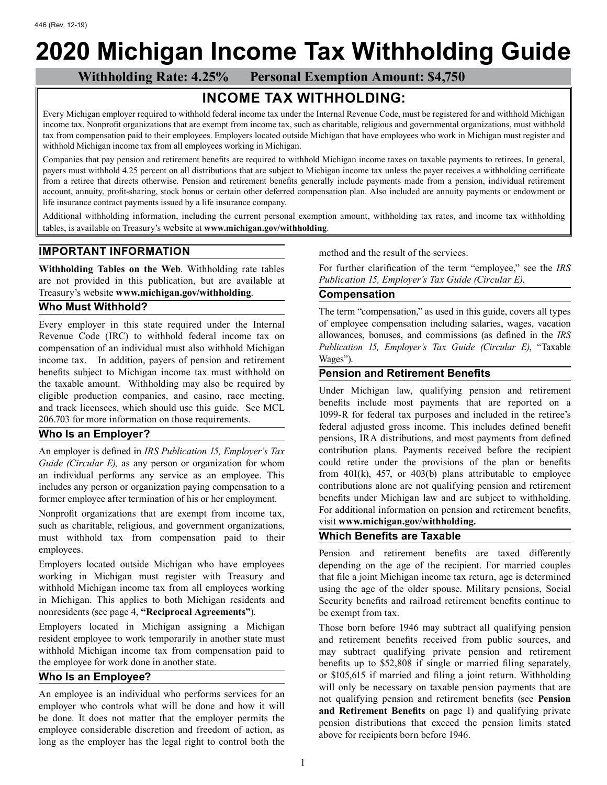# **2020 Michigan Income Tax Withholding Guide**

 **Withholding Rate: 4.25% Personal Exemption Amount: \$4,750**

# **INCOME TAX WITHHOLDING:**

Every Michigan employer required to withhold federal income tax under the Internal Revenue Code, must be registered for and withhold Michigan income tax. Nonprofit organizations that are exempt from income tax, such as charitable, religious and governmental organizations, must withhold tax from compensation paid to their employees. Employers located outside Michigan that have employees who work in Michigan must register and withhold Michigan income tax from all employees working in Michigan.

Companies that pay pension and retirement benefits are required to withhold Michigan income taxes on taxable payments to retirees. In general, payers must withhold 4.25 percent on all distributions that are subject to Michigan income tax unless the payer receives a withholding certificate from a retiree that directs otherwise. Pension and retirement benefits generally include payments made from a pension, individual retirement account, annuity, profit-sharing, stock bonus or certain other deferred compensation plan. Also included are annuity payments or endowment or life insurance contract payments issued by a life insurance company.

Additional withholding information, including the current personal exemption amount, withholding tax rates, and income tax withholding tables, is available on Treasury's website at **www.michigan.gov/withholding**.

# **IMPORTANT INFORMATION**

**Withholding Tables on the Web**. Withholding rate tables are not provided in this publication, but are available at Treasury's website **www.michigan.gov/withholding**.

# **Who Must Withhold?**

Every employer in this state required under the Internal Revenue Code (IRC) to withhold federal income tax on compensation of an individual must also withhold Michigan income tax. In addition, payers of pension and retirement benefits subject to Michigan income tax must withhold on the taxable amount. Withholding may also be required by eligible production companies, and casino, race meeting, and track licensees, which should use this guide. See MCL 206.703 for more information on those requirements.

# **Who Is an Employer?**

An employer is defined in *IRS Publication 15, Employer's Tax Guide (Circular E),* as any person or organization for whom an individual performs any service as an employee. This includes any person or organization paying compensation to a former employee after termination of his or her employment.

Nonprofit organizations that are exempt from income tax, such as charitable, religious, and government organizations, must withhold tax from compensation paid to their employees.

Employers located outside Michigan who have employees working in Michigan must register with Treasury and withhold Michigan income tax from all employees working in Michigan. This applies to both Michigan residents and nonresidents (see page 4, **"Reciprocal Agreements"**).

Employers located in Michigan assigning a Michigan resident employee to work temporarily in another state must withhold Michigan income tax from compensation paid to the employee for work done in another state.

# **Who Is an Employee?**

An employee is an individual who performs services for an employer who controls what will be done and how it will be done. It does not matter that the employer permits the employee considerable discretion and freedom of action, as long as the employer has the legal right to control both the method and the result of the services.

For further clarification of the term "employee," see the *IRS Publication 15, Employer's Tax Guide (Circular E)*.

# **Compensation**

The term "compensation," as used in this guide, covers all types of employee compensation including salaries, wages, vacation allowances, bonuses, and commissions (as defined in the *IRS Publication 15, Employer's Tax Guide (Circular E)*, "Taxable Wages").

#### **Pension and Retirement Benefits**

Under Michigan law, qualifying pension and retirement benefits include most payments that are reported on a 1099-R for federal tax purposes and included in the retiree's federal adjusted gross income. This includes defined benefit pensions, IRA distributions, and most payments from defined contribution plans. Payments received before the recipient could retire under the provisions of the plan or benefits from 401(k), 457, or 403(b) plans attributable to employee contributions alone are not qualifying pension and retirement benefits under Michigan law and are subject to withholding. For additional information on pension and retirement benefits, visit **www.michigan.gov/withholding.**

#### **Which Benefits are Taxable**

Pension and retirement benefits are taxed differently depending on the age of the recipient. For married couples that file a joint Michigan income tax return, age is determined using the age of the older spouse. Military pensions, Social Security benefits and railroad retirement benefits continue to be exempt from tax.

Those born before 1946 may subtract all qualifying pension and retirement benefits received from public sources, and may subtract qualifying private pension and retirement benefits up to \$52,808 if single or married filing separately, or \$105,615 if married and filing a joint return. Withholding will only be necessary on taxable pension payments that are not qualifying pension and retirement benefits (see **Pension and Retirement Benefits** on page 1) and qualifying private pension distributions that exceed the pension limits stated above for recipients born before 1946.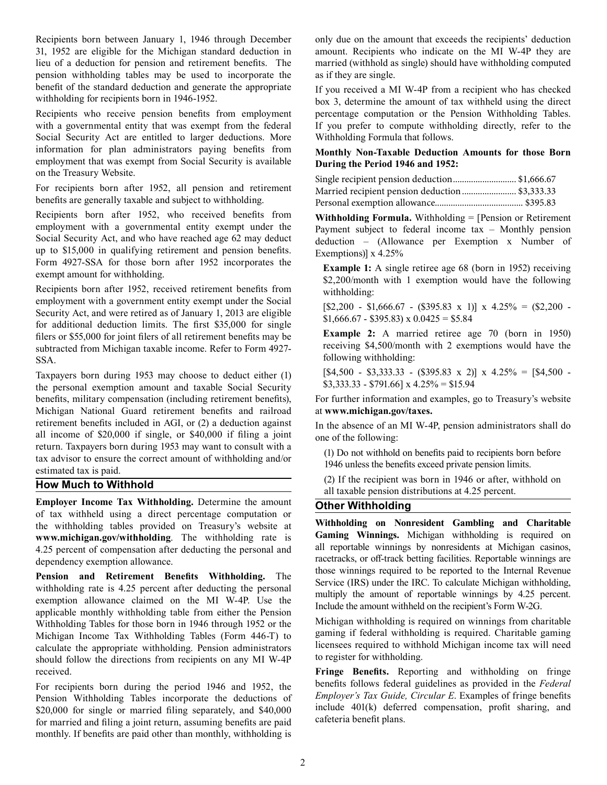Recipients born between January 1, 1946 through December 31, 1952 are eligible for the Michigan standard deduction in lieu of a deduction for pension and retirement benefits. The pension withholding tables may be used to incorporate the benefit of the standard deduction and generate the appropriate withholding for recipients born in 1946-1952.

Recipients who receive pension benefits from employment with a governmental entity that was exempt from the federal Social Security Act are entitled to larger deductions. More information for plan administrators paying benefits from employment that was exempt from Social Security is available on the Treasury Website.

For recipients born after 1952, all pension and retirement benefits are generally taxable and subject to withholding.

Recipients born after 1952, who received benefits from employment with a governmental entity exempt under the Social Security Act, and who have reached age 62 may deduct up to \$15,000 in qualifying retirement and pension benefits. Form 4927-SSA for those born after 1952 incorporates the exempt amount for withholding.

Recipients born after 1952, received retirement benefits from employment with a government entity exempt under the Social Security Act, and were retired as of January 1, 2013 are eligible for additional deduction limits. The first \$35,000 for single filers or \$55,000 for joint filers of all retirement benefits may be subtracted from Michigan taxable income. Refer to Form 4927- SSA.

Taxpayers born during 1953 may choose to deduct either (1) the personal exemption amount and taxable Social Security benefits, military compensation (including retirement benefits), Michigan National Guard retirement benefits and railroad retirement benefits included in AGI, or (2) a deduction against all income of \$20,000 if single, or \$40,000 if filing a joint return. Taxpayers born during 1953 may want to consult with a tax advisor to ensure the correct amount of withholding and/or estimated tax is paid.

#### **How Much to Withhold**

**Employer Income Tax Withholding.** Determine the amount of tax withheld using a direct percentage computation or the withholding tables provided on Treasury's website at **www.michigan.gov/withholding**. The withholding rate is 4.25 percent of compensation after deducting the personal and dependency exemption allowance.

**Pension and Retirement Benefits Withholding.** The withholding rate is 4.25 percent after deducting the personal exemption allowance claimed on the MI W-4P. Use the applicable monthly withholding table from either the Pension Withholding Tables for those born in 1946 through 1952 or the Michigan Income Tax Withholding Tables (Form 446-T) to calculate the appropriate withholding. Pension administrators should follow the directions from recipients on any MI W-4P received.

For recipients born during the period 1946 and 1952, the Pension Withholding Tables incorporate the deductions of \$20,000 for single or married filing separately, and \$40,000 for married and filing a joint return, assuming benefits are paid monthly. If benefits are paid other than monthly, withholding is

only due on the amount that exceeds the recipients' deduction amount. Recipients who indicate on the MI W-4P they are married (withhold as single) should have withholding computed as if they are single.

If you received a MI W-4P from a recipient who has checked box 3, determine the amount of tax withheld using the direct percentage computation or the Pension Withholding Tables. If you prefer to compute withholding directly, refer to the Withholding Formula that follows.

#### **Monthly Non-Taxable Deduction Amounts for those Born During the Period 1946 and 1952:**

| Single recipient pension deduction \$1,666.67  |  |
|------------------------------------------------|--|
| Married recipient pension deduction \$3,333.33 |  |
|                                                |  |

**Withholding Formula.** Withholding = [Pension or Retirement Payment subject to federal income tax – Monthly pension deduction – (Allowance per Exemption x Number of Exemptions)] x 4.25%

**Example 1:** A single retiree age 68 (born in 1952) receiving \$2,200/month with 1 exemption would have the following withholding:

 $[$2,200 - $1,666.67 - ($395.83 \times 1)] \times 4.25\% = ($2,200 $1,666.67 - $395.83$  x  $0.0425 = $5.84$ 

**Example 2:** A married retiree age 70 (born in 1950) receiving \$4,500/month with 2 exemptions would have the following withholding:

 $[$4,500 - $3,333.33 - ($395.83 \times 2)] \times 4.25\% = $4,500 $3,333.33 - $791.66$ ] x  $4.25\% = $15.94$ 

For further information and examples, go to Treasury's website at **www.michigan.gov/taxes.**

In the absence of an MI W-4P, pension administrators shall do one of the following:

(1) Do not withhold on benefits paid to recipients born before 1946 unless the benefits exceed private pension limits.

(2) If the recipient was born in 1946 or after, withhold on all taxable pension distributions at 4.25 percent.

#### **Other Withholding**

**Withholding on Nonresident Gambling and Charitable Gaming Winnings.** Michigan withholding is required on all reportable winnings by nonresidents at Michigan casinos, racetracks, or off-track betting facilities. Reportable winnings are those winnings required to be reported to the Internal Revenue Service (IRS) under the IRC. To calculate Michigan withholding, multiply the amount of reportable winnings by 4.25 percent. Include the amount withheld on the recipient's Form W-2G.

Michigan withholding is required on winnings from charitable gaming if federal withholding is required. Charitable gaming licensees required to withhold Michigan income tax will need to register for withholding.

**Fringe Benefits.** Reporting and withholding on fringe benefits follows federal guidelines as provided in the *Federal Employer's Tax Guide, Circular E*. Examples of fringe benefits include 401(k) deferred compensation, profit sharing, and cafeteria benefit plans.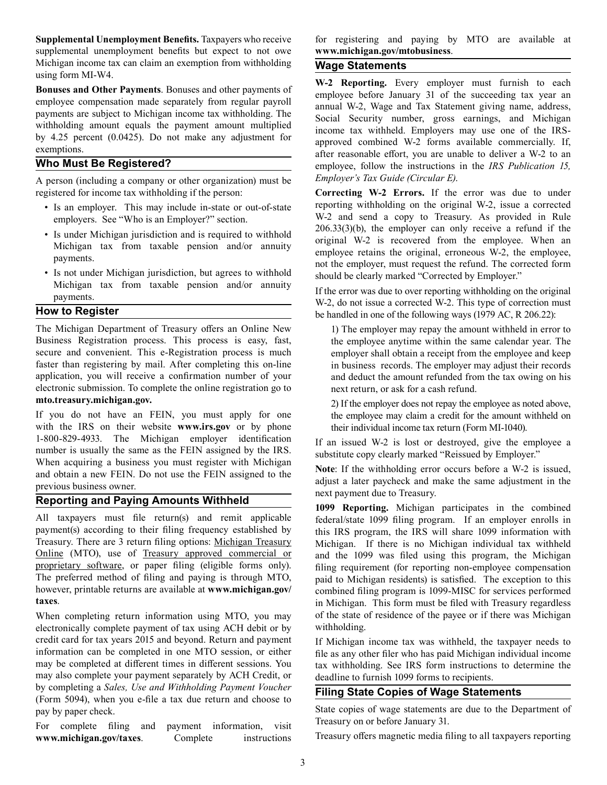**Supplemental Unemployment Benefits.** Taxpayers who receive supplemental unemployment benefits but expect to not owe Michigan income tax can claim an exemption from withholding using form MI-W4.

**Bonuses and Other Payments**. Bonuses and other payments of employee compensation made separately from regular payroll payments are subject to Michigan income tax withholding. The withholding amount equals the payment amount multiplied by 4.25 percent (0.0425). Do not make any adjustment for exemptions.

# **Who Must Be Registered?**

A person (including a company or other organization) must be registered for income tax withholding if the person:

- Is an employer. This may include in-state or out-of-state employers. See "Who is an Employer?" section.
- Is under Michigan jurisdiction and is required to withhold Michigan tax from taxable pension and/or annuity payments.
- Is not under Michigan jurisdiction, but agrees to withhold Michigan tax from taxable pension and/or annuity payments.

#### **How to Register**

The Michigan Department of Treasury offers an Online New Business Registration process. This process is easy, fast, secure and convenient. This e-Registration process is much faster than registering by mail. After completing this on-line application, you will receive a confirmation number of your electronic submission. To complete the online registration go to **mto.treasury.michigan.gov.**

If you do not have an FEIN, you must apply for one with the IRS on their website **www.irs.gov** or by phone 1-800-829-4933. The Michigan employer identification number is usually the same as the FEIN assigned by the IRS. When acquiring a business you must register with Michigan and obtain a new FEIN. Do not use the FEIN assigned to the previous business owner.

#### **Reporting and Paying Amounts Withheld**

All taxpayers must file return(s) and remit applicable payment(s) according to their filing frequency established by Treasury. There are 3 return filing options: [Michigan Treasury](https://mto.treasury.michigan.gov) [Online](https://mto.treasury.michigan.gov) (MTO), use of [Treasury approved commercial or](https://www.michigan.gov/taxes/0,4676,7-238-43549-453837--,00.html)  [proprietary software,](https://www.michigan.gov/taxes/0,4676,7-238-43549-453837--,00.html) or paper filing (eligible forms only). The preferred method of filing and paying is through MTO, however, printable returns are available at **www.michigan.gov/ taxes**.

When completing return information using MTO, you may electronically complete payment of tax using ACH debit or by credit card for tax years 2015 and beyond. Return and payment information can be completed in one MTO session, or either may be completed at different times in different sessions. You may also complete your payment separately by ACH Credit, or by completing a *Sales, Use and Withholding Payment Voucher*  (Form 5094), when you e-file a tax due return and choose to pay by paper check.

For complete filing and payment information, visit **www.michigan.gov/taxes**. Complete instructions

for registering and paying by MTO are available at **www.michigan.gov/mtobusiness**.

# **Wage Statements**

**W-2 Reporting.** Every employer must furnish to each employee before January 31 of the succeeding tax year an annual W-2, Wage and Tax Statement giving name, address, Social Security number, gross earnings, and Michigan income tax withheld. Employers may use one of the IRSapproved combined W-2 forms available commercially. If, after reasonable effort, you are unable to deliver a W-2 to an employee, follow the instructions in the *IRS Publication 15, Employer's Tax Guide (Circular E)*.

**Correcting W-2 Errors.** If the error was due to under reporting withholding on the original W-2, issue a corrected W-2 and send a copy to Treasury. As provided in Rule 206.33(3)(b), the employer can only receive a refund if the original W-2 is recovered from the employee. When an employee retains the original, erroneous W-2, the employee, not the employer, must request the refund. The corrected form should be clearly marked "Corrected by Employer."

If the error was due to over reporting withholding on the original W-2, do not issue a corrected W-2. This type of correction must be handled in one of the following ways (1979 AC, R 206.22):

1) The employer may repay the amount withheld in error to the employee anytime within the same calendar year. The employer shall obtain a receipt from the employee and keep in business records. The employer may adjust their records and deduct the amount refunded from the tax owing on his next return, or ask for a cash refund.

2) If the employer does not repay the employee as noted above, the employee may claim a credit for the amount withheld on their individual income tax return (Form MI-1040).

If an issued W-2 is lost or destroyed, give the employee a substitute copy clearly marked "Reissued by Employer."

**Note**: If the withholding error occurs before a W-2 is issued, adjust a later paycheck and make the same adjustment in the next payment due to Treasury.

**1099 Reporting.** Michigan participates in the combined federal/state 1099 filing program. If an employer enrolls in this IRS program, the IRS will share 1099 information with Michigan. If there is no Michigan individual tax withheld and the 1099 was filed using this program, the Michigan filing requirement (for reporting non-employee compensation paid to Michigan residents) is satisfied. The exception to this combined filing program is 1099-MISC for services performed in Michigan. This form must be filed with Treasury regardless of the state of residence of the payee or if there was Michigan withholding.

If Michigan income tax was withheld, the taxpayer needs to file as any other filer who has paid Michigan individual income tax withholding. See IRS form instructions to determine the deadline to furnish 1099 forms to recipients.

# **Filing State Copies of Wage Statements**

State copies of wage statements are due to the Department of Treasury on or before January 31.

Treasury offers magnetic media filing to all taxpayers reporting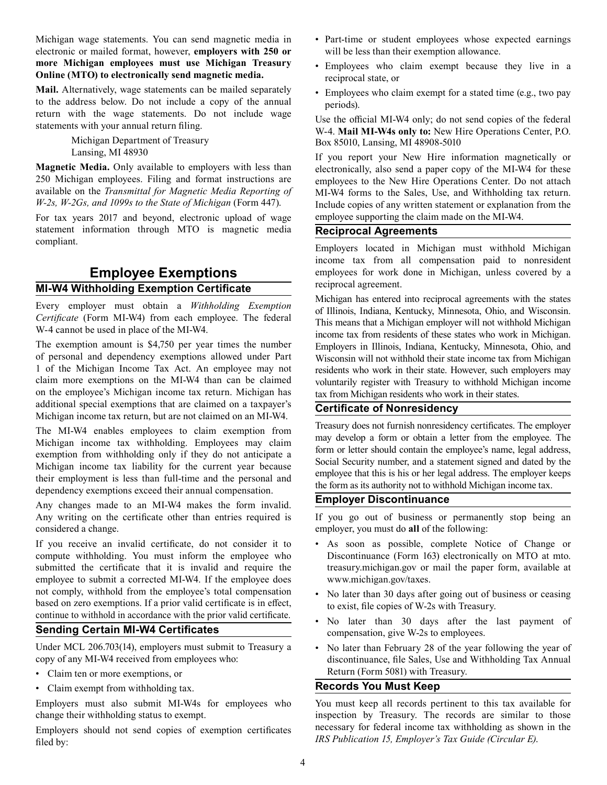Michigan wage statements. You can send magnetic media in electronic or mailed format, however, **employers with 250 or more Michigan employees must use Michigan Treasury Online (MTO) to electronically send magnetic media.**

**Mail.** Alternatively, wage statements can be mailed separately to the address below. Do not include a copy of the annual return with the wage statements. Do not include wage statements with your annual return filing.

> Michigan Department of Treasury Lansing, MI 48930

**Magnetic Media.** Only available to employers with less than 250 Michigan employees. Filing and format instructions are available on the *Transmittal for Magnetic Media Reporting of W-2s, W-2Gs, and 1099s to the State of Michigan* (Form 447).

For tax years 2017 and beyond, electronic upload of wage statement information through MTO is magnetic media compliant.

# **Employee Exemptions MI-W4 Withholding Exemption Certificate**

Every employer must obtain a *Withholding Exemption Certificate* (Form MI-W4) from each employee. The federal W-4 cannot be used in place of the MI-W4.

The exemption amount is \$4,750 per year times the number of personal and dependency exemptions allowed under Part 1 of the Michigan Income Tax Act. An employee may not claim more exemptions on the MI-W4 than can be claimed on the employee's Michigan income tax return. Michigan has additional special exemptions that are claimed on a taxpayer's Michigan income tax return, but are not claimed on an MI-W4.

The MI-W4 enables employees to claim exemption from Michigan income tax withholding. Employees may claim exemption from withholding only if they do not anticipate a Michigan income tax liability for the current year because their employment is less than full-time and the personal and dependency exemptions exceed their annual compensation.

Any changes made to an MI-W4 makes the form invalid. Any writing on the certificate other than entries required is considered a change.

If you receive an invalid certificate, do not consider it to compute withholding. You must inform the employee who submitted the certificate that it is invalid and require the employee to submit a corrected MI-W4. If the employee does not comply, withhold from the employee's total compensation based on zero exemptions. If a prior valid certificate is in effect, continue to withhold in accordance with the prior valid certificate.

#### **Sending Certain MI-W4 Certificates**

Under MCL 206.703(14), employers must submit to Treasury a copy of any MI-W4 received from employees who:

- Claim ten or more exemptions, or
- Claim exempt from withholding tax.

Employers must also submit MI-W4s for employees who change their withholding status to exempt.

Employers should not send copies of exemption certificates filed by:

- Part-time or student employees whose expected earnings will be less than their exemption allowance.
- Employees who claim exempt because they live in a reciprocal state, or
- Employees who claim exempt for a stated time (e.g., two pay periods).

Use the official MI-W4 only; do not send copies of the federal W-4. **Mail MI-W4s only to:** New Hire Operations Center, P.O. Box 85010, Lansing, MI 48908-5010

If you report your New Hire information magnetically or electronically, also send a paper copy of the MI-W4 for these employees to the New Hire Operations Center. Do not attach MI-W4 forms to the Sales, Use, and Withholding tax return. Include copies of any written statement or explanation from the employee supporting the claim made on the MI-W4.

#### **Reciprocal Agreements**

Employers located in Michigan must withhold Michigan income tax from all compensation paid to nonresident employees for work done in Michigan, unless covered by a reciprocal agreement.

Michigan has entered into reciprocal agreements with the states of Illinois, Indiana, Kentucky, Minnesota, Ohio, and Wisconsin. This means that a Michigan employer will not withhold Michigan income tax from residents of these states who work in Michigan. Employers in Illinois, Indiana, Kentucky, Minnesota, Ohio, and Wisconsin will not withhold their state income tax from Michigan residents who work in their state. However, such employers may voluntarily register with Treasury to withhold Michigan income tax from Michigan residents who work in their states.

#### **Certificate of Nonresidency**

Treasury does not furnish nonresidency certificates. The employer may develop a form or obtain a letter from the employee. The form or letter should contain the employee's name, legal address, Social Security number, and a statement signed and dated by the employee that this is his or her legal address. The employer keeps the form as its authority not to withhold Michigan income tax.

#### **Employer Discontinuance**

If you go out of business or permanently stop being an employer, you must do **all** of the following:

- As soon as possible, complete Notice of Change or Discontinuance (Form 163) electronically on MTO at mto. treasury.michigan.gov or mail the paper form, available at www.michigan.gov/taxes.
- No later than 30 days after going out of business or ceasing to exist, file copies of W-2s with Treasury.
- No later than 30 days after the last payment of compensation, give W-2s to employees.
- No later than February 28 of the year following the year of discontinuance, file Sales, Use and Withholding Tax Annual Return (Form 5081) with Treasury.

## **Records You Must Keep**

You must keep all records pertinent to this tax available for inspection by Treasury. The records are similar to those necessary for federal income tax withholding as shown in the *IRS Publication 15, Employer's Tax Guide (Circular E)*.